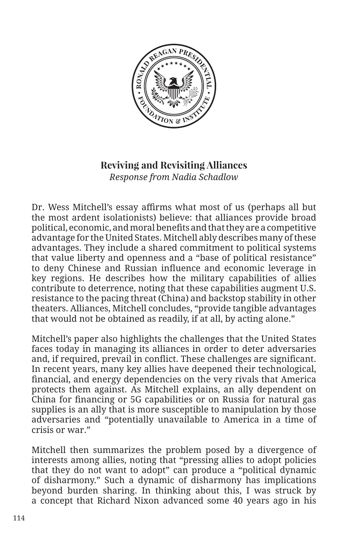

## **Reviving and Revisiting Alliances** *Response from Nadia Schadlow*

Dr. Wess Mitchell's essay affirms what most of us (perhaps all but the most ardent isolationists) believe: that alliances provide broad political, economic, and moral benefits and that they are a competitive advantage for the United States. Mitchell ably describes many of these advantages. They include a shared commitment to political systems that value liberty and openness and a "base of political resistance" to deny Chinese and Russian influence and economic leverage in key regions. He describes how the military capabilities of allies contribute to deterrence, noting that these capabilities augment U.S. resistance to the pacing threat (China) and backstop stability in other theaters. Alliances, Mitchell concludes, "provide tangible advantages that would not be obtained as readily, if at all, by acting alone."

Mitchell's paper also highlights the challenges that the United States faces today in managing its alliances in order to deter adversaries and, if required, prevail in conflict. These challenges are significant. In recent years, many key allies have deepened their technological, financial, and energy dependencies on the very rivals that America protects them against. As Mitchell explains, an ally dependent on China for financing or 5G capabilities or on Russia for natural gas supplies is an ally that is more susceptible to manipulation by those adversaries and "potentially unavailable to America in a time of crisis or war."

Mitchell then summarizes the problem posed by a divergence of interests among allies, noting that "pressing allies to adopt policies that they do not want to adopt" can produce a "political dynamic of disharmony." Such a dynamic of disharmony has implications beyond burden sharing. In thinking about this, I was struck by a concept that Richard Nixon advanced some 40 years ago in his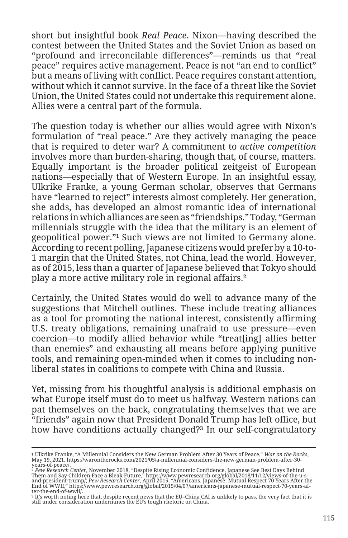short but insightful book *Real Peace*. Nixon—having described the contest between the United States and the Soviet Union as based on "profound and irreconcilable differences"—reminds us that "real peace" requires active management. Peace is not "an end to conflict" but a means of living with conflict. Peace requires constant attention, without which it cannot survive. In the face of a threat like the Soviet Union, the United States could not undertake this requirement alone. Allies were a central part of the formula.

The question today is whether our allies would agree with Nixon's formulation of "real peace." Are they actively managing the peace that is required to deter war? A commitment to *active competition*  involves more than burden-sharing, though that, of course, matters. Equally important is the broader political zeitgeist of European nations—especially that of Western Europe. In an insightful essay, Ulkrike Franke, a young German scholar, observes that Germans have "learned to reject" interests almost completely. Her generation, she adds, has developed an almost romantic idea of international relations in which alliances are seen as "friendships." Today, "German millennials struggle with the idea that the military is an element of geopolitical power."**1** Such views are not limited to Germany alone. According to recent polling, Japanese citizens would prefer by a 10-to-1 margin that the United States, not China, lead the world. However, as of 2015, less than a quarter of Japanese believed that Tokyo should play a more active military role in regional affairs.**<sup>2</sup>**

Certainly, the United States would do well to advance many of the suggestions that Mitchell outlines. These include treating alliances as a tool for promoting the national interest, consistently affirming U.S. treaty obligations, remaining unafraid to use pressure—even coercion—to modify allied behavior while "treat[ing] allies better than enemies" and exhausting all means before applying punitive tools, and remaining open-minded when it comes to including nonliberal states in coalitions to compete with China and Russia.

Yet, missing from his thoughtful analysis is additional emphasis on what Europe itself must do to meet us halfway. Western nations can pat themselves on the back, congratulating themselves that we are "friends" again now that President Donald Trump has left office, but how have conditions actually changed?**3** In our self-congratulatory

years-of-peace/.<br>2 *Pew Research Center*, November 2018, "Despite Rising Economic Confidence, Japanese See Best Days Behind<br>Them and Say Children Face a Bleak Future," https://www.pewresearch.org/global/2018/11/12/views-of and-president-trump/; *Pew Research Center*, April 2015, "Americans, Japanese: Mutual Respect 70 Years After the<br>End of WWII," https://www.pewresearch.org/global/2015/04/07/americans-japanese-mutual-respect-70-years-af-<br>te

<sup>1</sup> Ulkrike Franke, "A Millennial Considers the New German Problem After 30 Years of Peace," *War on the Rocks,*<br>May 19, 2021, https://warontherocks.com/2021/05/a-millennial-considers-the-new-german-problem-after-30-

**<sup>3</sup>** It's worth noting here that, despite recent news that the EU–China CAI is unlikely to pass, the very fact that it is still under consideration undermines the EU's tough rhetoric on China.